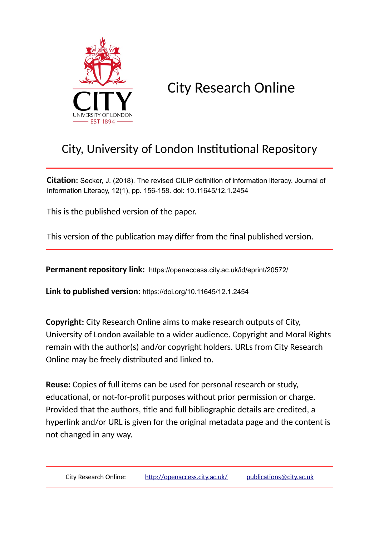

City Research Online

# City, University of London Institutional Repository

**Citation**: Secker, J. (2018). The revised CILIP definition of information literacy. Journal of Information Literacy, 12(1), pp. 156-158. doi: 10.11645/12.1.2454

This is the published version of the paper.

This version of the publication may differ from the final published version.

**Permanent repository link:** https://openaccess.city.ac.uk/id/eprint/20572/

**Link to published version**: https://doi.org/10.11645/12.1.2454

**Copyright:** City Research Online aims to make research outputs of City, University of London available to a wider audience. Copyright and Moral Rights remain with the author(s) and/or copyright holders. URLs from City Research Online may be freely distributed and linked to.

**Reuse:** Copies of full items can be used for personal research or study, educational, or not-for-profit purposes without prior permission or charge. Provided that the authors, title and full bibliographic details are credited, a hyperlink and/or URL is given for the original metadata page and the content is not changed in any way.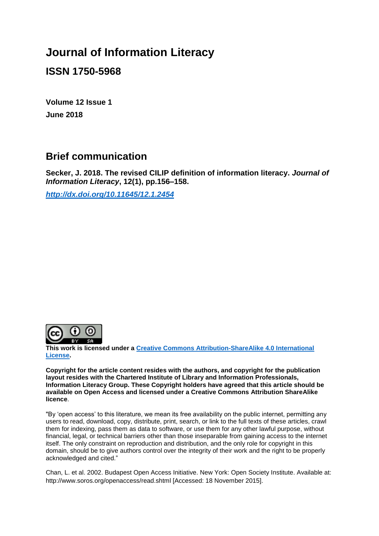## **Journal of Information Literacy**

### **ISSN 1750-5968**

**Volume 12 Issue 1 June 2018**

### **Brief communication**

**Secker, J. 2018. The revised CILIP definition of information literacy.** *Journal of Information Literacy***, 12(1), pp.156–158.**

*<http://dx.doi.org/10.11645/12.1.2454>*



**This work is licensed under a [Creative Commons Attribution-ShareAlike 4.0 International](http://creativecommons.org/licenses/by-sa/4.0/)  [License.](http://creativecommons.org/licenses/by-sa/4.0/)**

**Copyright for the article content resides with the authors, and copyright for the publication layout resides with the Chartered Institute of Library and Information Professionals, Information Literacy Group. These Copyright holders have agreed that this article should be available on Open Access and licensed under a Creative Commons Attribution ShareAlike licence**.

"By 'open access' to this literature, we mean its free availability on the public internet, permitting any users to read, download, copy, distribute, print, search, or link to the full texts of these articles, crawl them for indexing, pass them as data to software, or use them for any other lawful purpose, without financial, legal, or technical barriers other than those inseparable from gaining access to the internet itself. The only constraint on reproduction and distribution, and the only role for copyright in this domain, should be to give authors control over the integrity of their work and the right to be properly acknowledged and cited."

Chan, L. et al. 2002. Budapest Open Access Initiative. New York: Open Society Institute. Available at: http://www.soros.org/openaccess/read.shtml [Accessed: 18 November 2015].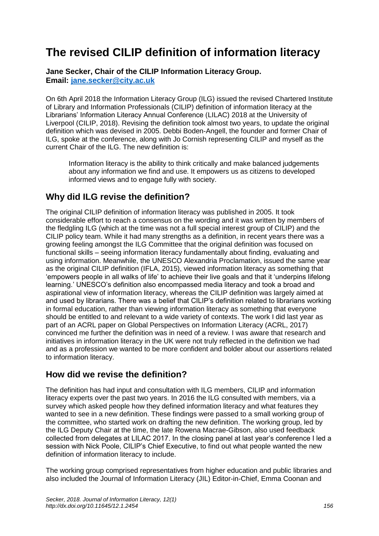# **The revised CILIP definition of information literacy**

**Jane Secker, Chair of the CILIP Information Literacy Group. Email: [jane.secker@city.ac.uk](mailto:jane.secker@city.ac.uk)**

On 6th April 2018 the Information Literacy Group (ILG) issued the revised Chartered Institute of Library and Information Professionals (CILIP) definition of information literacy at the Librarians' Information Literacy Annual Conference (LILAC) 2018 at the University of Liverpool (CILIP, 2018). Revising the definition took almost two years, to update the original definition which was devised in 2005. Debbi Boden-Angell, the founder and former Chair of ILG, spoke at the conference, along with Jo Cornish representing CILIP and myself as the current Chair of the ILG. The new definition is:

Information literacy is the ability to think critically and make balanced judgements about any information we find and use. It empowers us as citizens to developed informed views and to engage fully with society.

#### **Why did ILG revise the definition?**

The original CILIP definition of information literacy was published in 2005. It took considerable effort to reach a consensus on the wording and it was written by members of the fledgling ILG (which at the time was not a full special interest group of CILIP) and the CILIP policy team. While it had many strengths as a definition, in recent years there was a growing feeling amongst the ILG Committee that the original definition was focused on functional skills – seeing information literacy fundamentally about finding, evaluating and using information. Meanwhile, the UNESCO Alexandria Proclamation, issued the same year as the original CILIP definition (IFLA, 2015), viewed information literacy as something that 'empowers people in all walks of life' to achieve their live goals and that it 'underpins lifelong learning.' UNESCO's definition also encompassed media literacy and took a broad and aspirational view of information literacy, whereas the CILIP definition was largely aimed at and used by librarians. There was a belief that CILIP's definition related to librarians working in formal education, rather than viewing information literacy as something that everyone should be entitled to and relevant to a wide variety of contexts. The work I did last year as part of an ACRL paper on Global Perspectives on Information Literacy (ACRL, 2017) convinced me further the definition was in need of a review. I was aware that research and initiatives in information literacy in the UK were not truly reflected in the definition we had and as a profession we wanted to be more confident and bolder about our assertions related to information literacy.

#### **How did we revise the definition?**

The definition has had input and consultation with ILG members, CILIP and information literacy experts over the past two years. In 2016 the ILG consulted with members, via a survey which asked people how they defined information literacy and what features they wanted to see in a new definition. These findings were passed to a small working group of the committee, who started work on drafting the new definition. The working group, led by the ILG Deputy Chair at the time, the late Rowena Macrae-Gibson, also used feedback collected from delegates at LILAC 2017. In the closing panel at last year's conference I led a session with Nick Poole, CILIP's Chief Executive, to find out what people wanted the new definition of information literacy to include.

The working group comprised representatives from higher education and public libraries and also included the Journal of Information Literacy (JIL) Editor-in-Chief, Emma Coonan and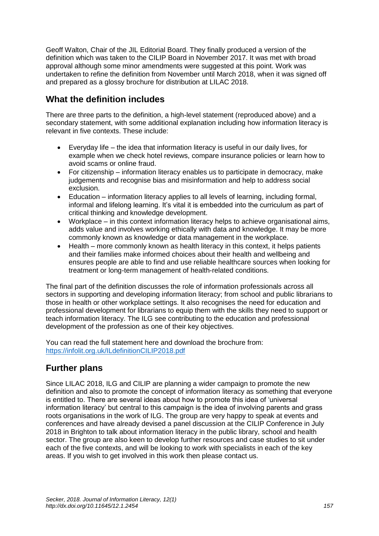Geoff Walton, Chair of the JIL Editorial Board. They finally produced a version of the definition which was taken to the CILIP Board in November 2017. It was met with broad approval although some minor amendments were suggested at this point. Work was undertaken to refine the definition from November until March 2018, when it was signed off and prepared as a glossy brochure for distribution at LILAC 2018.

#### **What the definition includes**

There are three parts to the definition, a high-level statement (reproduced above) and a secondary statement, with some additional explanation including how information literacy is relevant in five contexts. These include:

- Everyday life the idea that information literacy is useful in our daily lives, for example when we check hotel reviews, compare insurance policies or learn how to avoid scams or online fraud.
- For citizenship information literacy enables us to participate in democracy, make judgements and recognise bias and misinformation and help to address social exclusion.
- Education information literacy applies to all levels of learning, including formal, informal and lifelong learning. It's vital it is embedded into the curriculum as part of critical thinking and knowledge development.
- Workplace in this context information literacy helps to achieve organisational aims, adds value and involves working ethically with data and knowledge. It may be more commonly known as knowledge or data management in the workplace.
- Health more commonly known as health literacy in this context, it helps patients and their families make informed choices about their health and wellbeing and ensures people are able to find and use reliable healthcare sources when looking for treatment or long-term management of health-related conditions.

The final part of the definition discusses the role of information professionals across all sectors in supporting and developing information literacy; from school and public librarians to those in health or other workplace settings. It also recognises the need for education and professional development for librarians to equip them with the skills they need to support or teach information literacy. The ILG see contributing to the education and professional development of the profession as one of their key objectives.

You can read the full statement here and download the brochure from: <https://infolit.org.uk/ILdefinitionCILIP2018.pdf>

#### **Further plans**

Since LILAC 2018, ILG and CILIP are planning a wider campaign to promote the new definition and also to promote the concept of information literacy as something that everyone is entitled to. There are several ideas about how to promote this idea of 'universal information literacy' but central to this campaign is the idea of involving parents and grass roots organisations in the work of ILG. The group are very happy to speak at events and conferences and have already devised a panel discussion at the CILIP Conference in July 2018 in Brighton to talk about information literacy in the public library, school and health sector. The group are also keen to develop further resources and case studies to sit under each of the five contexts, and will be looking to work with specialists in each of the key areas. If you wish to get involved in this work then please contact us.